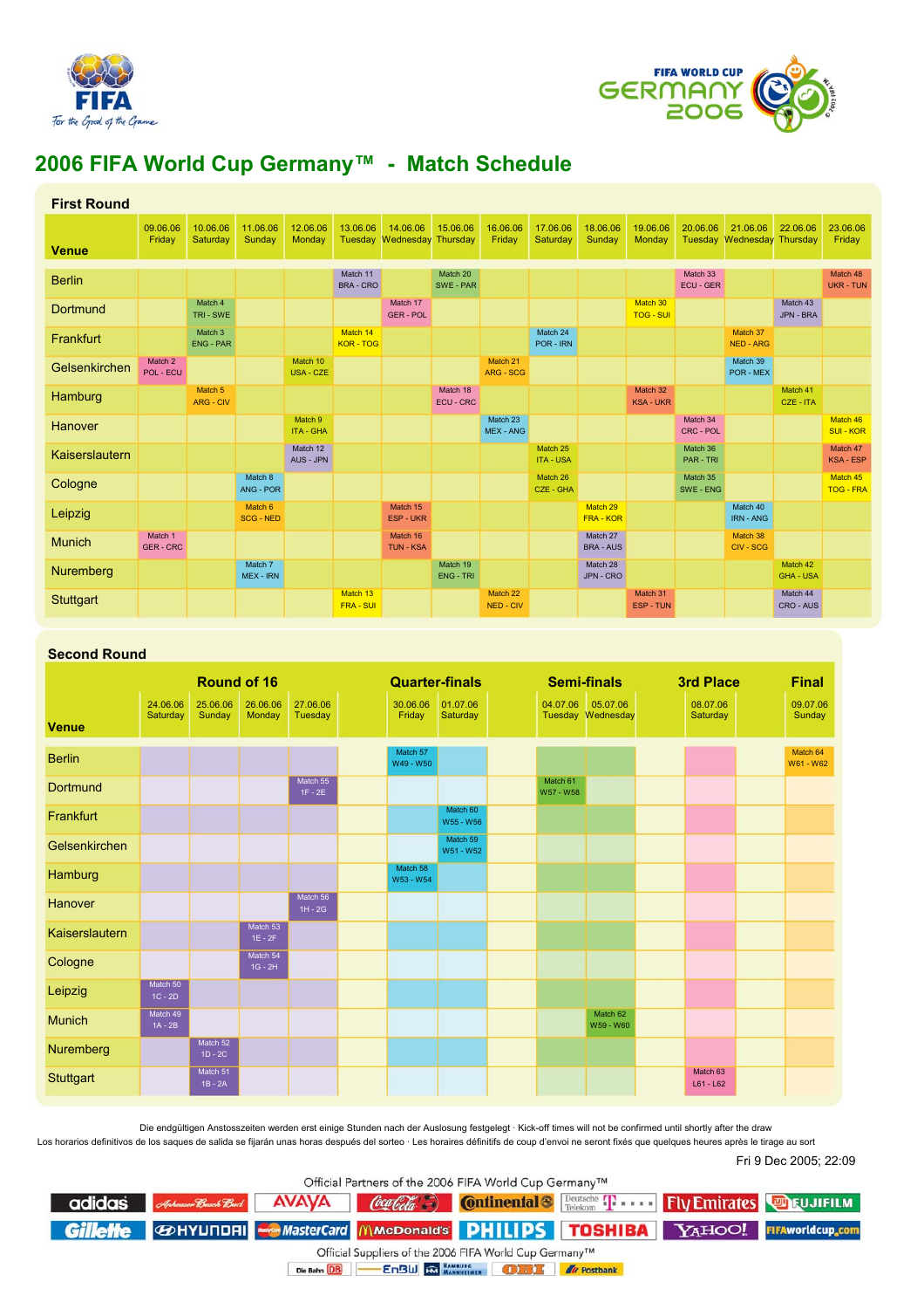



## **2006 FIFA World Cup Germany™ - Match Schedule**

| <b>First Round</b> |                           |                      |                             |                             |                              |                              |                              |                              |                              |                              |                              |                              |                              |                              |                              |
|--------------------|---------------------------|----------------------|-----------------------------|-----------------------------|------------------------------|------------------------------|------------------------------|------------------------------|------------------------------|------------------------------|------------------------------|------------------------------|------------------------------|------------------------------|------------------------------|
| <b>Venue</b>       | 09.06.06<br>Friday        | 10.06.06<br>Saturday | 11.06.06<br>Sunday          | 12.06.06<br>Monday          | 13.06.06<br>Tuesday          | 14.06.06<br>Wednesday        | 15.06.06<br>Thursday         | 16.06.06<br>Friday           | 17.06.06<br>Saturday         | 18.06.06<br>Sunday           | 19.06.06<br>Monday           | 20.06.06<br>Tuesday          | 21.06.06<br>Wednesday        | 22.06.06<br>Thursday         | 23.06.06<br>Friday           |
| <b>Berlin</b>      |                           |                      |                             |                             | Match 11<br><b>BRA - CRO</b> |                              | Match 20<br>SWE - PAR        |                              |                              |                              |                              | Match 33<br><b>ECU - GER</b> |                              |                              | Match 48<br><b>UKR - TUN</b> |
| Dortmund           |                           | Match 4<br>TRI - SWE |                             |                             |                              | Match 17<br><b>GER-POL</b>   |                              |                              |                              |                              | Match 30<br><b>TOG - SUI</b> |                              |                              | Match 43<br>JPN - BRA        |                              |
| Frankfurt          |                           | Match 3<br>ENG - PAR |                             |                             | Match 14<br><b>KOR - TOG</b> |                              |                              |                              | Match 24<br>POR - IRN        |                              |                              |                              | Match 37<br><b>NED - ARG</b> |                              |                              |
| Gelsenkirchen      | Match 2<br>POL - ECU      |                      |                             | Match 10<br>USA - CZE       |                              |                              |                              | Match 21<br>ARG - SCG        |                              |                              |                              |                              | Match 39<br>POR - MEX        |                              |                              |
| Hamburg            |                           | Match 5<br>ARG - CIV |                             |                             |                              |                              | Match 18<br><b>ECU - CRC</b> |                              |                              |                              | Match 32<br><b>KSA - UKR</b> |                              |                              | Match 41<br>CZE - ITA        |                              |
| Hanover            |                           |                      |                             | Match 9<br><b>ITA - GHA</b> |                              |                              |                              | Match 23<br><b>MEX - ANG</b> |                              |                              |                              | Match 34<br><b>CRC - POL</b> |                              |                              | Match 46<br><b>SUI - KOR</b> |
| Kaiserslautern     |                           |                      |                             | Match 12<br>AUS - JPN       |                              |                              |                              |                              | Match 25<br><b>ITA - USA</b> |                              |                              | Match 36<br>PAR - TRI        |                              |                              | Match 47<br><b>KSA - ESP</b> |
| Cologne            |                           |                      | Match 8<br>ANG - POR        |                             |                              |                              |                              |                              | Match 26<br>CZE - GHA        |                              |                              | Match 35<br>SWE - ENG        |                              |                              | Match 45<br><b>TOG - FRA</b> |
| Leipzig            |                           |                      | Match 6<br><b>SCG - NED</b> |                             |                              | Match 15<br><b>ESP - UKR</b> |                              |                              |                              | Match 29<br><b>FRA - KOR</b> |                              |                              | Match 40<br><b>IRN - ANG</b> |                              |                              |
| <b>Munich</b>      | Match 1<br><b>GER-CRC</b> |                      |                             |                             |                              | Match 16<br><b>TUN - KSA</b> |                              |                              |                              | Match 27<br><b>BRA - AUS</b> |                              |                              | Match 38<br><b>CIV - SCG</b> |                              |                              |
| Nuremberg          |                           |                      | Match 7<br><b>MEX - IRN</b> |                             |                              |                              | Match 19<br><b>ENG - TRI</b> |                              |                              | Match 28<br>JPN - CRO        |                              |                              |                              | Match 42<br><b>GHA - USA</b> |                              |
| Stuttgart          |                           |                      |                             |                             | Match 13<br><b>FRA - SUI</b> |                              |                              | Match 22<br><b>NED - CIV</b> |                              |                              | Match 31<br><b>ESP-TUN</b>   |                              |                              | Match 44<br>CRO - AUS        |                              |

## **Second Round**

| <b>Round of 16</b> |                       |                       |                       |                       |  | <b>Quarter-finals</b> |                       |  | <b>Semi-finals</b>    |                                      |  | <b>3rd Place</b>        |  | <b>Final</b>          |
|--------------------|-----------------------|-----------------------|-----------------------|-----------------------|--|-----------------------|-----------------------|--|-----------------------|--------------------------------------|--|-------------------------|--|-----------------------|
| <b>Venue</b>       | 24.06.06<br>Saturday  | 25.06.06<br>Sunday    | 26.06.06<br>Monday    | 27.06.06<br>Tuesday   |  | 30.06.06<br>Friday    | 01.07.06<br>Saturday  |  | 04.07.06              | 05.07.06<br><b>Tuesday Wednesday</b> |  | 08.07.06<br>Saturday    |  | 09.07.06<br>Sunday    |
| <b>Berlin</b>      |                       |                       |                       |                       |  | Match 57<br>W49 - W50 |                       |  |                       |                                      |  |                         |  | Match 64<br>W61 - W62 |
| Dortmund           |                       |                       |                       | Match 55<br>$1F - 2E$ |  |                       |                       |  | Match 61<br>W57 - W58 |                                      |  |                         |  |                       |
| Frankfurt          |                       |                       |                       |                       |  |                       | Match 60<br>W55 - W56 |  |                       |                                      |  |                         |  |                       |
| Gelsenkirchen      |                       |                       |                       |                       |  |                       | Match 59<br>W51 - W52 |  |                       |                                      |  |                         |  |                       |
| Hamburg            |                       |                       |                       |                       |  | Match 58<br>W53 - W54 |                       |  |                       |                                      |  |                         |  |                       |
| Hanover            |                       |                       |                       | Match 56<br>$1H - 2G$ |  |                       |                       |  |                       |                                      |  |                         |  |                       |
| Kaiserslautern     |                       |                       | Match 53<br>$1E - 2F$ |                       |  |                       |                       |  |                       |                                      |  |                         |  |                       |
| Cologne            |                       |                       | Match 54<br>$1G - 2H$ |                       |  |                       |                       |  |                       |                                      |  |                         |  |                       |
| Leipzig            | Match 50<br>$1C - 2D$ |                       |                       |                       |  |                       |                       |  |                       |                                      |  |                         |  |                       |
| <b>Munich</b>      | Match 49<br>$1A - 2B$ |                       |                       |                       |  |                       |                       |  |                       | Match 62<br>W59 - W60                |  |                         |  |                       |
| Nuremberg          |                       | Match 52<br>$1D - 2C$ |                       |                       |  |                       |                       |  |                       |                                      |  |                         |  |                       |
| Stuttgart          |                       | Match 51<br>$1B - 2A$ |                       |                       |  |                       |                       |  |                       |                                      |  | Match 63<br>$L61 - L62$ |  |                       |

Die endgültigen Anstosszeiten werden erst einige Stunden nach der Auslosung festgelegt · Kick-off times will not be confirmed until shortly after the draw

Los horarios definitivos de los saques de salida se fijarán unas horas después del sorteo · Les horaires définitifs de coup d'envoi ne seront fixés que quelques heures après le tirage au sort

Fri 9 Dec 2005; 22:09

| Official Partners of the 2006 FIFA World Cup Germany™  |                                                                                                 |             |  |                                       |  |                                                                                          |  |  |  |  |
|--------------------------------------------------------|-------------------------------------------------------------------------------------------------|-------------|--|---------------------------------------|--|------------------------------------------------------------------------------------------|--|--|--|--|
| adidas                                                 | Anhamsen Busch Bud AVAVA                                                                        |             |  |                                       |  | <b>CocalCola = Continental S Relation To Property Fly Emirates The Equation Property</b> |  |  |  |  |
|                                                        | <b>Gillette @HYUNDFII</b> MasterCard MMcDonald's <b>PHILIPS</b> TOSHIBA YAHOO! FIFAWorldcup.com |             |  |                                       |  |                                                                                          |  |  |  |  |
| Official Suppliers of the 2006 FIFA World Cup Germany™ |                                                                                                 |             |  |                                       |  |                                                                                          |  |  |  |  |
|                                                        |                                                                                                 | Die Bahn DB |  | EnBUL Relativities CO BL Are Postbank |  |                                                                                          |  |  |  |  |